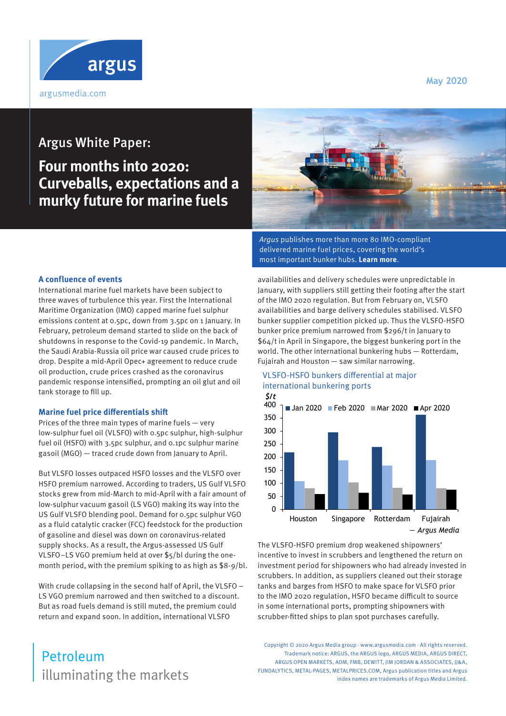**May 2020**



# Argus White Paper:

# **Four months into 2020: Curveballs, expectations and a murky future for marine fuels**



Argus publishes more than more 80 IMO-compliant [delivered marine fuel prices, covering the world's](https://view.argusmedia.com/shipping-marine-fuels-lloyds-list-2020.html)  most important bunker hubs. **Learn more**.

### **A confluence of events**

International marine fuel markets have been subject to three waves of turbulence this year. First the International Maritime Organization (IMO) capped marine fuel sulphur emissions content at 0.5pc, down from 3.5pc on 1 January. In February, petroleum demand started to slide on the back of shutdowns in response to the Covid-19 pandemic. In March, the Saudi Arabia-Russia oil price war caused crude prices to drop. Despite a mid-April Opec+ agreement to reduce crude oil production, crude prices crashed as the coronavirus pandemic response intensified, prompting an oil glut and oil tank storage to fill up.

#### **Marine fuel price differentials shift**

Prices of the three main types of marine fuels — very low-sulphur fuel oil (VLSFO) with 0.5pc sulphur, high-sulphur fuel oil (HSFO) with 3.5pc sulphur, and 0.1pc sulphur marine gasoil (MGO) — traced crude down from January to April.

But VLSFO losses outpaced HSFO losses and the VLSFO over HSFO premium narrowed. According to traders, US Gulf VLSFO stocks grew from mid-March to mid-April with a fair amount of low-sulphur vacuum gasoil (LS VGO) making its way into the US Gulf VLSFO blending pool. Demand for 0.5pc sulphur VGO as a fluid catalytic cracker (FCC) feedstock for the production of gasoline and diesel was down on coronavirus-related supply shocks. As a result, the Argus-assessed US Gulf VLSFO–LS VGO premium held at over \$5/bl during the onemonth period, with the premium spiking to as high as \$8-9/bl.

With crude collapsing in the second half of April, the VLSFO – LS VGO premium narrowed and then switched to a discount. But as road fuels demand is still muted, the premium could return and expand soon. In addition, international VLSFO

# illuminating the markets Petroleum

availabilities and delivery schedules were unpredictable in January, with suppliers still getting their footing after the start of the IMO 2020 regulation. But from February on, VLSFO availabilities and barge delivery schedules stabilised. VLSFO bunker supplier competition picked up. Thus the VLSFO-HSFO bunker price premium narrowed from \$296/t in January to \$64/t in April in Singapore, the biggest bunkering port in the world. The other international bunkering hubs — Rotterdam, Fujairah and Houston — saw similar narrowing.



# VLSFO-HSFO bunkers differential at major international bunkering ports

The VLSFO-HSFO premium drop weakened shipowners' incentive to invest in scrubbers and lengthened the return on investment period for shipowners who had already invested in scrubbers. In addition, as suppliers cleaned out their storage tanks and barges from HSFO to make space for VLSFO prior to the IMO 2020 regulation, HSFO became difficult to source in some international ports, prompting shipowners with scrubber-fitted ships to plan spot purchases carefully.

Copyright © 2020 Argus Media group - www.argusmedia.com - All rights reserved. Trademark notice: ARGUS, the ARGUS logo, ARGUS MEDIA, ARGUS DIRECT, ARGUS OPEN MARKETS, AOM, FMB, DEWITT, JIM JORDAN & ASSOCIATES, JJ&A, FUNDALYTICS, METAL-PAGES, METALPRICES.COM, Argus publication titles and Argus index names are trademarks of Argus Media Limited.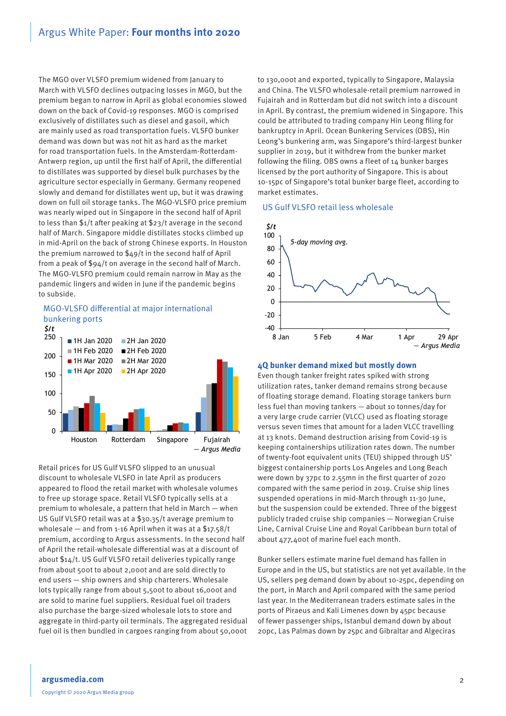# Argus White Paper: **Four months into 2020**

The MGO over VLSFO premium widened from January to March with VLSFO declines outpacing losses in MGO, but the premium began to narrow in April as global economies slowed down on the back of Covid-19 responses. MGO is comprised exclusively of distillates such as diesel and gasoil, which are mainly used as road transportation fuels. VLSFO bunker demand was down but was not hit as hard as the market for road transportation fuels. In the Amsterdam-Rotterdam-Antwerp region, up until the first half of April, the differential to distillates was supported by diesel bulk purchases by the agriculture sector especially in Germany. Germany reopened slowly and demand for distillates went up, but it was drawing down on full oil storage tanks. The MGO-VLSFO price premium was nearly wiped out in Singapore in the second half of April to less than \$1/t after peaking at \$23/t average in the second half of March. Singapore middle distillates stocks climbed up in mid-April on the back of strong Chinese exports. In Houston the premium narrowed to \$49/t in the second half of April from a peak of \$94/t on average in the second half of March. The MGO-VLSFO premium could remain narrow in May as the pandemic lingers and widen in June if the pandemic begins to subside.



Retail prices for US Gulf VLSFO slipped to an unusual discount to wholesale VLSFO in late April as producers appeared to flood the retail market with wholesale volumes to free up storage space. Retail VLSFO typically sells at a premium to wholesale, a pattern that held in March — when US Gulf VLSFO retail was at a \$30.35/t average premium to wholesale — and from 1-16 April when it was at a \$17.58/t premium, according to Argus assessments. In the second half of April the retail-wholesale differential was at a discount of about \$14/t. US Gulf VLSFO retail deliveries typically range from about 500t to about 2,000t and are sold directly to end users — ship owners and ship charterers. Wholesale lots typically range from about 5,500t to about 16,000t and are sold to marine fuel suppliers. Residual fuel oil traders also purchase the barge-sized wholesale lots to store and aggregate in third-party oil terminals. The aggregated residual fuel oil is then bundled in cargoes ranging from about 50,000t

to 130,000t and exported, typically to Singapore, Malaysia and China. The VLSFO wholesale-retail premium narrowed in Fujairah and in Rotterdam but did not switch into a discount in April. By contrast, the premium widened in Singapore. This could be attributed to trading company Hin Leong filing for bankruptcy in April. Ocean Bunkering Services (OBS), Hin Leong's bunkering arm, was Singapore's third-largest bunker supplier in 2019, but it withdrew from the bunker market following the filing. OBS owns a fleet of 14 bunker barges licensed by the port authority of Singapore. This is about 10-15pc of Singapore's total bunker barge fleet, according to market estimates.

#### US Gulf VLSFO retail less wholesale



#### **4Q bunker demand mixed but mostly down**

Even though tanker freight rates spiked with strong utilization rates, tanker demand remains strong because of floating storage demand. Floating storage tankers burn less fuel than moving tankers — about 10 tonnes/day for a very large crude carrier (VLCC) used as floating storage versus seven times that amount for a laden VLCC travelling at 13 knots. Demand destruction arising from Covid-19 is keeping containerships utilization rates down. The number of twenty-foot equivalent units (TEU) shipped through US' biggest containership ports Los Angeles and Long Beach were down by 37pc to 2.55mn in the first quarter of 2020 compared with the same period in 2019. Cruise ship lines suspended operations in mid-March through 11-30 June, but the suspension could be extended. Three of the biggest publicly traded cruise ship companies — Norwegian Cruise Line, Carnival Cruise Line and Royal Caribbean burn total of about 477,400t of marine fuel each month.

Bunker sellers estimate marine fuel demand has fallen in Europe and in the US, but statistics are not yet available. In the US, sellers peg demand down by about 10-25pc, depending on the port, in March and April compared with the same period last year. In the Mediterranean traders estimate sales in the ports of Piraeus and Kali Limenes down by 45pc because of fewer passenger ships, Istanbul demand down by about 20pc, Las Palmas down by 25pc and Gibraltar and Algeciras

### **argusmedia.com** Copyright © 2020 Argus Media group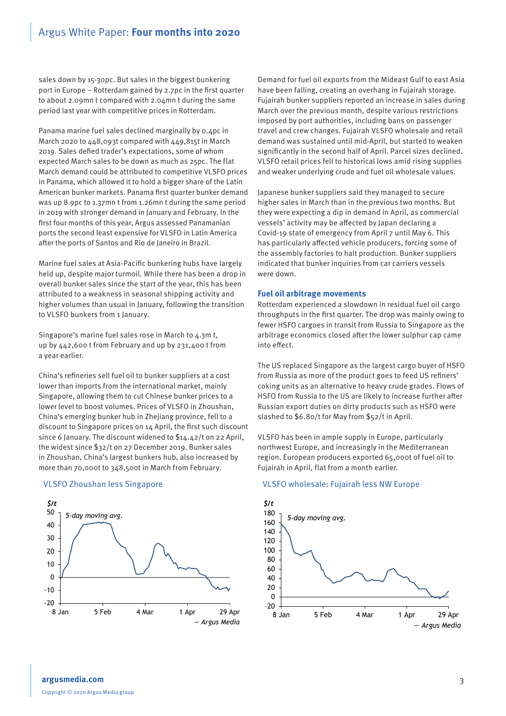sales down by 15-30pc. But sales in the biggest bunkering port in Europe – Rotterdam gained by 2.7pc in the first quarter to about 2.09mn t compared with 2.04mn t during the same period last year with competitive prices in Rotterdam.

Panama marine fuel sales declined marginally by 0.4pc in March 2020 to 448,093t compared with 449,815t in March 2019. Sales defied trader's expectations, some of whom expected March sales to be down as much as 25pc. The flat March demand could be attributed to competitive VLSFO prices in Panama, which allowed it to hold a bigger share of the Latin American bunker markets. Panama first quarter bunker demand was up 8.9pc to 1.37mn t from 1.26mn t during the same period in 2019 with stronger demand in January and February. In the first four months of this year, Argus assessed Panamanian ports the second least expensive for VLSFO in Latin America after the ports of Santos and Rio de Janeiro in Brazil.

Marine fuel sales at Asia-Pacific bunkering hubs have largely held up, despite major turmoil. While there has been a drop in overall bunker sales since the start of the year, this has been attributed to a weakness in seasonal shipping activity and higher volumes than usual in January, following the transition to VLSFO bunkers from 1 January.

Singapore's marine fuel sales rose in March to 4.3m t, up by 442,600 t from February and up by 231,400 t from a year earlier.

China's refineries sell fuel oil to bunker suppliers at a cost lower than imports from the international market, mainly Singapore, allowing them to cut Chinese bunker prices to a lower level to boost volumes. Prices of VLSFO in Zhoushan, China's emerging bunker hub in Zhejiang province, fell to a discount to Singapore prices on 14 April, the first such discount since 6 January. The discount widened to \$14.42/t on 22 April, the widest since \$32/t on 27 December 2019. Bunker sales in Zhoushan, China's largest bunkers hub, also increased by more than 70,000t to 348,500t in March from February.

# VLSFO Zhoushan less Singapore



Demand for fuel oil exports from the Mideast Gulf to east Asia have been falling, creating an overhang in Fujairah storage. Fujairah bunker suppliers reported an increase in sales during March over the previous month, despite various restrictions imposed by port authorities, including bans on passenger travel and crew changes. Fujairah VLSFO wholesale and retail demand was sustained until mid-April, but started to weaken significantly in the second half of April. Parcel sizes declined. VLSFO retail prices fell to historical lows amid rising supplies and weaker underlying crude and fuel oil wholesale values.

Japanese bunker suppliers said they managed to secure higher sales in March than in the previous two months. But they were expecting a dip in demand in April, as commercial vessels' activity may be affected by Japan declaring a Covid-19 state of emergency from April 7 until May 6. This has particularly affected vehicle producers, forcing some of the assembly factories to halt production. Bunker suppliers indicated that bunker inquiries from car carriers vessels were down.

#### **Fuel oil arbitrage movements**

Rotterdam experienced a slowdown in residual fuel oil cargo throughputs in the first quarter. The drop was mainly owing to fewer HSFO cargoes in transit from Russia to Singapore as the arbitrage economics closed after the lower sulphur cap came into effect.

The US replaced Singapore as the largest cargo buyer of HSFO from Russia as more of the product goes to feed US refiners' coking units as an alternative to heavy crude grades. Flows of HSFO from Russia to the US are likely to increase further after Russian export duties on dirty products such as HSFO were slashed to \$6.80/t for May from \$52/t in April.

VLSFO has been in ample supply in Europe, particularly northwest Europe, and increasingly in the Mediterranean region. European producers exported 65,000t of fuel oil to Fujairah in April, flat from a month earlier.

#### VLSFO wholesale: Fujairah less NW Europe

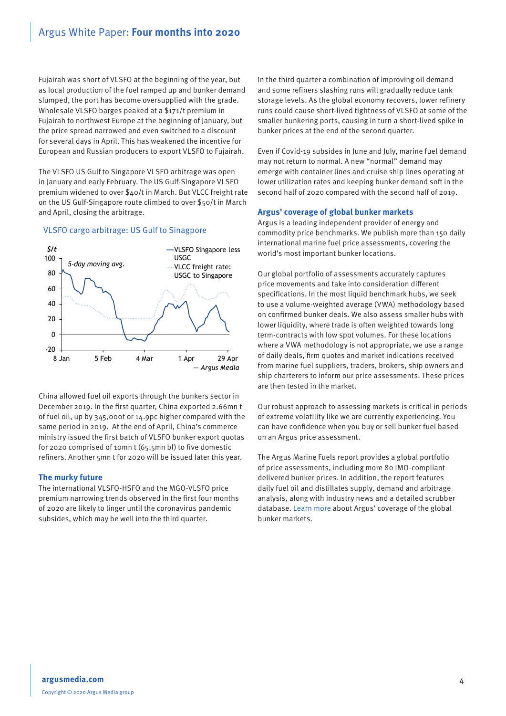Fujairah was short of VLSFO at the beginning of the year, but as local production of the fuel ramped up and bunker demand slumped, the port has become oversupplied with the grade. Wholesale VLSFO barges peaked at a \$171/t premium in Fujairah to northwest Europe at the beginning of January, but the price spread narrowed and even switched to a discount for several days in April. This has weakened the incentive for European and Russian producers to export VLSFO to Fujairah.

The VLSFO US Gulf to Singapore VLSFO arbitrage was open in January and early February. The US Gulf-Singapore VLSFO premium widened to over \$40/t in March. But VLCC freight rate on the US Gulf-Singapore route climbed to over \$50/t in March and April, closing the arbitrage.

# VLSFO cargo arbitrage: US Gulf to Sinagpore



China allowed fuel oil exports through the bunkers sector in December 2019. In the first quarter, China exported 2.66mn t of fuel oil, up by 345,000t or 14.9pc higher compared with the same period in 2019. At the end of April, China's commerce ministry issued the first batch of VLSFO bunker export quotas for 2020 comprised of 10mn t (65.5mn bl) to five domestic refiners. Another 5mn t for 2020 will be issued later this year.

# **The murky future**

The international VLSFO-HSFO and the MGO-VLSFO price premium narrowing trends observed in the first four months of 2020 are likely to linger until the coronavirus pandemic subsides, which may be well into the third quarter.

In the third quarter a combination of improving oil demand and some refiners slashing runs will gradually reduce tank storage levels. As the global economy recovers, lower refinery runs could cause short-lived tightness of VLSFO at some of the smaller bunkering ports, causing in turn a short-lived spike in bunker prices at the end of the second quarter.

Even if Covid-19 subsides in June and July, marine fuel demand may not return to normal. A new "normal" demand may emerge with container lines and cruise ship lines operating at lower utilization rates and keeping bunker demand soft in the second half of 2020 compared with the second half of 2019.

# **Argus' coverage of global bunker markets**

Argus is a leading independent provider of energy and commodity price benchmarks. We publish more than 150 daily international marine fuel price assessments, covering the world's most important bunker locations.

Our global portfolio of assessments accurately captures price movements and take into consideration different specifications. In the most liquid benchmark hubs, we seek to use a volume-weighted average (VWA) methodology based on confirmed bunker deals. We also assess smaller hubs with lower liquidity, where trade is often weighted towards long term-contracts with low spot volumes. For these locations where a VWA methodology is not appropriate, we use a range of daily deals, firm quotes and market indications received from marine fuel suppliers, traders, brokers, ship owners and ship charterers to inform our price assessments. These prices are then tested in the market.

Our robust approach to assessing markets is critical in periods of extreme volatility like we are currently experiencing. You can have confidence when you buy or sell bunker fuel based on an Argus price assessment.

The Argus Marine Fuels report provides a global portfolio of price assessments, including more 80 IMO-compliant delivered bunker prices. In addition, the report features daily fuel oil and distillates supply, demand and arbitrage analysis, along with industry news and a detailed scrubber database. [Learn more](https://view.argusmedia.com/shipping-marine-fuels-lloyds-list-2020.html) about Argus' coverage of the global bunker markets.